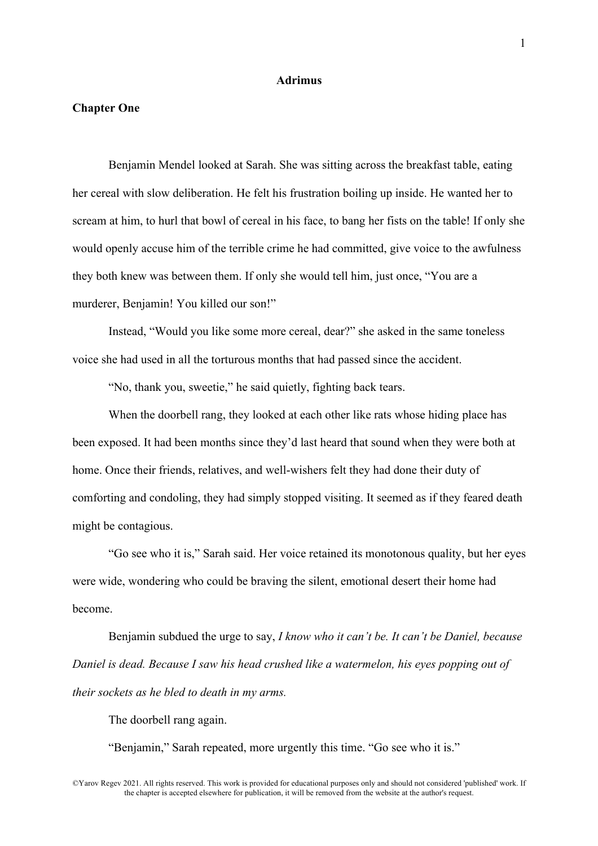## **Adrimus**

## **Chapter One**

Benjamin Mendel looked at Sarah. She was sitting across the breakfast table, eating her cereal with slow deliberation. He felt his frustration boiling up inside. He wanted her to scream at him, to hurl that bowl of cereal in his face, to bang her fists on the table! If only she would openly accuse him of the terrible crime he had committed, give voice to the awfulness they both knew was between them. If only she would tell him, just once, "You are a murderer, Benjamin! You killed our son!"

Instead, "Would you like some more cereal, dear?" she asked in the same toneless voice she had used in all the torturous months that had passed since the accident.

"No, thank you, sweetie," he said quietly, fighting back tears.

When the doorbell rang, they looked at each other like rats whose hiding place has been exposed. It had been months since they'd last heard that sound when they were both at home. Once their friends, relatives, and well-wishers felt they had done their duty of comforting and condoling, they had simply stopped visiting. It seemed as if they feared death might be contagious.

"Go see who it is," Sarah said. Her voice retained its monotonous quality, but her eyes were wide, wondering who could be braving the silent, emotional desert their home had become.

Benjamin subdued the urge to say, *I know who it can't be. It can't be Daniel, because Daniel is dead. Because I saw his head crushed like a watermelon, his eyes popping out of their sockets as he bled to death in my arms.*

The doorbell rang again.

"Benjamin," Sarah repeated, more urgently this time. "Go see who it is."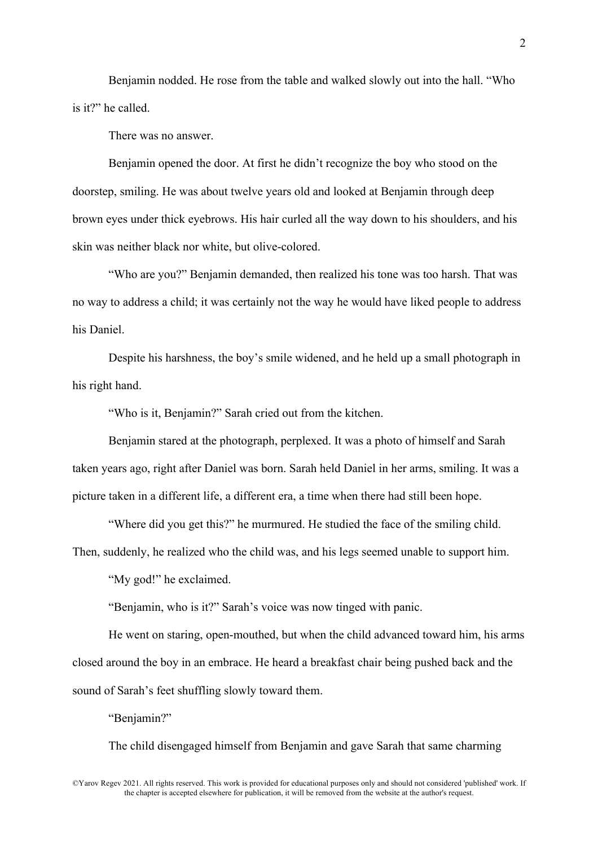Benjamin nodded. He rose from the table and walked slowly out into the hall. "Who is it?" he called.

There was no answer.

Benjamin opened the door. At first he didn't recognize the boy who stood on the doorstep, smiling. He was about twelve years old and looked at Benjamin through deep brown eyes under thick eyebrows. His hair curled all the way down to his shoulders, and his skin was neither black nor white, but olive-colored.

"Who are you?" Benjamin demanded, then realized his tone was too harsh. That was no way to address a child; it was certainly not the way he would have liked people to address his Daniel.

Despite his harshness, the boy's smile widened, and he held up a small photograph in his right hand.

"Who is it, Benjamin?" Sarah cried out from the kitchen.

Benjamin stared at the photograph, perplexed. It was a photo of himself and Sarah taken years ago, right after Daniel was born. Sarah held Daniel in her arms, smiling. It was a picture taken in a different life, a different era, a time when there had still been hope.

"Where did you get this?" he murmured. He studied the face of the smiling child.

Then, suddenly, he realized who the child was, and his legs seemed unable to support him.

"My god!" he exclaimed.

"Benjamin, who is it?" Sarah's voice was now tinged with panic.

He went on staring, open-mouthed, but when the child advanced toward him, his arms closed around the boy in an embrace. He heard a breakfast chair being pushed back and the sound of Sarah's feet shuffling slowly toward them.

"Benjamin?"

The child disengaged himself from Benjamin and gave Sarah that same charming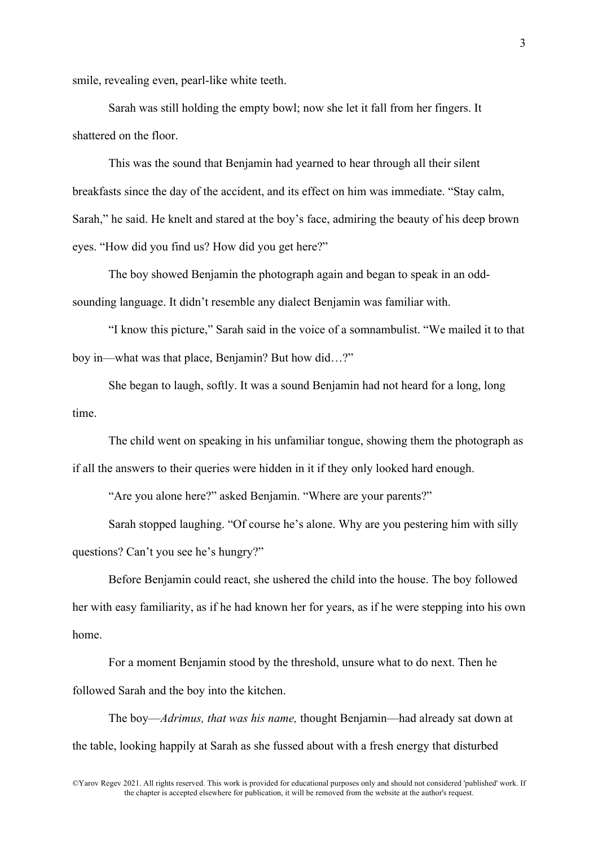smile, revealing even, pearl-like white teeth.

Sarah was still holding the empty bowl; now she let it fall from her fingers. It shattered on the floor.

This was the sound that Benjamin had yearned to hear through all their silent breakfasts since the day of the accident, and its effect on him was immediate. "Stay calm, Sarah," he said. He knelt and stared at the boy's face, admiring the beauty of his deep brown eyes. "How did you find us? How did you get here?"

The boy showed Benjamin the photograph again and began to speak in an oddsounding language. It didn't resemble any dialect Benjamin was familiar with.

"I know this picture," Sarah said in the voice of a somnambulist. "We mailed it to that boy in—what was that place, Benjamin? But how did…?"

She began to laugh, softly. It was a sound Benjamin had not heard for a long, long time.

The child went on speaking in his unfamiliar tongue, showing them the photograph as if all the answers to their queries were hidden in it if they only looked hard enough.

"Are you alone here?" asked Benjamin. "Where are your parents?"

Sarah stopped laughing. "Of course he's alone. Why are you pestering him with silly questions? Can't you see he's hungry?"

Before Benjamin could react, she ushered the child into the house. The boy followed her with easy familiarity, as if he had known her for years, as if he were stepping into his own home.

For a moment Benjamin stood by the threshold, unsure what to do next. Then he followed Sarah and the boy into the kitchen.

The boy—*Adrimus, that was his name,* thought Benjamin—had already sat down at the table, looking happily at Sarah as she fussed about with a fresh energy that disturbed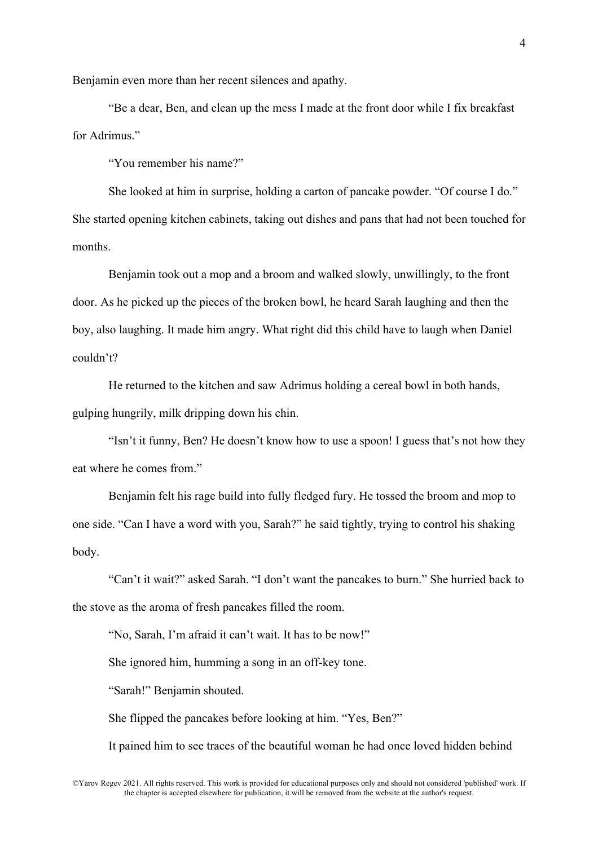Benjamin even more than her recent silences and apathy.

"Be a dear, Ben, and clean up the mess I made at the front door while I fix breakfast for Adrimus."

"You remember his name?"

She looked at him in surprise, holding a carton of pancake powder. "Of course I do." She started opening kitchen cabinets, taking out dishes and pans that had not been touched for months.

Benjamin took out a mop and a broom and walked slowly, unwillingly, to the front door. As he picked up the pieces of the broken bowl, he heard Sarah laughing and then the boy, also laughing. It made him angry. What right did this child have to laugh when Daniel couldn't?

He returned to the kitchen and saw Adrimus holding a cereal bowl in both hands, gulping hungrily, milk dripping down his chin.

"Isn't it funny, Ben? He doesn't know how to use a spoon! I guess that's not how they eat where he comes from."

Benjamin felt his rage build into fully fledged fury. He tossed the broom and mop to one side. "Can I have a word with you, Sarah?" he said tightly, trying to control his shaking body.

"Can't it wait?" asked Sarah. "I don't want the pancakes to burn." She hurried back to the stove as the aroma of fresh pancakes filled the room.

"No, Sarah, I'm afraid it can't wait. It has to be now!"

She ignored him, humming a song in an off-key tone.

"Sarah!" Benjamin shouted.

She flipped the pancakes before looking at him. "Yes, Ben?"

It pained him to see traces of the beautiful woman he had once loved hidden behind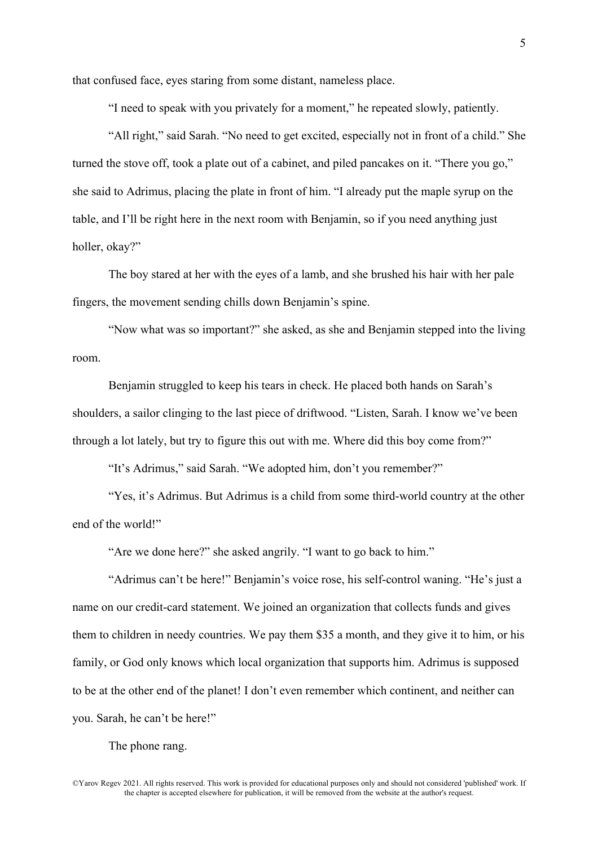that confused face, eyes staring from some distant, nameless place.

"I need to speak with you privately for a moment," he repeated slowly, patiently.

"All right," said Sarah. "No need to get excited, especially not in front of a child." She turned the stove off, took a plate out of a cabinet, and piled pancakes on it. "There you go," she said to Adrimus, placing the plate in front of him. "I already put the maple syrup on the table, and I'll be right here in the next room with Benjamin, so if you need anything just holler, okay?"

The boy stared at her with the eyes of a lamb, and she brushed his hair with her pale fingers, the movement sending chills down Benjamin's spine.

"Now what was so important?" she asked, as she and Benjamin stepped into the living room.

Benjamin struggled to keep his tears in check. He placed both hands on Sarah's shoulders, a sailor clinging to the last piece of driftwood. "Listen, Sarah. I know we've been through a lot lately, but try to figure this out with me. Where did this boy come from?"

"It's Adrimus," said Sarah. "We adopted him, don't you remember?"

"Yes, it's Adrimus. But Adrimus is a child from some third-world country at the other end of the world!"

"Are we done here?" she asked angrily. "I want to go back to him."

"Adrimus can't be here!" Benjamin's voice rose, his self-control waning. "He's just a name on our credit-card statement. We joined an organization that collects funds and gives them to children in needy countries. We pay them \$35 a month, and they give it to him, or his family, or God only knows which local organization that supports him. Adrimus is supposed to be at the other end of the planet! I don't even remember which continent, and neither can you. Sarah, he can't be here!"

The phone rang.

©Yarov Regev 2021. All rights reserved. This work is provided for educational purposes only and should not considered 'published' work. If the chapter is accepted elsewhere for publication, it will be removed from the website at the author's request.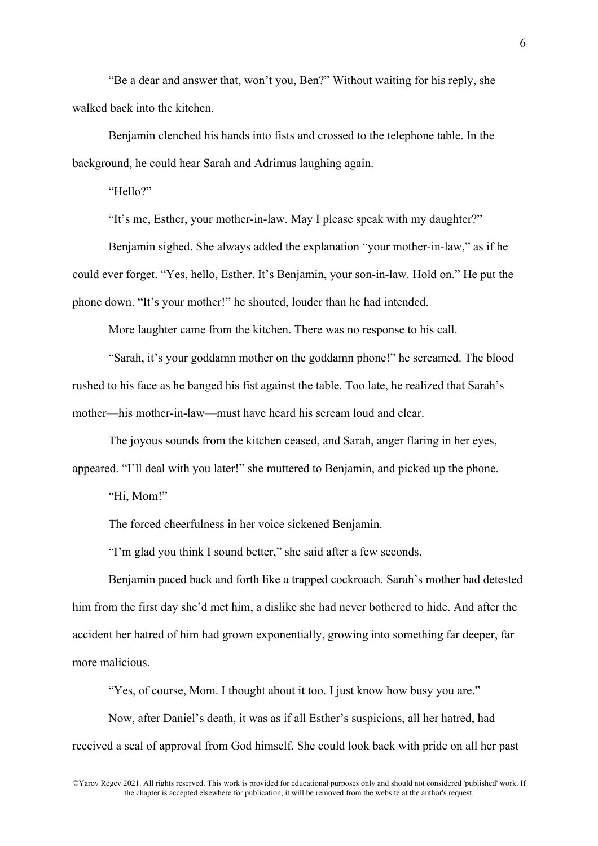"Be a dear and answer that, won't you, Ben?" Without waiting for his reply, she walked back into the kitchen.

Benjamin clenched his hands into fists and crossed to the telephone table. In the background, he could hear Sarah and Adrimus laughing again.

"Hello?"

"It's me, Esther, your mother-in-law. May I please speak with my daughter?"

Benjamin sighed. She always added the explanation "your mother-in-law," as if he could ever forget. "Yes, hello, Esther. It's Benjamin, your son-in-law. Hold on." He put the phone down. "It's your mother!" he shouted, louder than he had intended.

More laughter came from the kitchen. There was no response to his call.

"Sarah, it's your goddamn mother on the goddamn phone!" he screamed. The blood rushed to his face as he banged his fist against the table. Too late, he realized that Sarah's mother—his mother-in-law—must have heard his scream loud and clear.

The joyous sounds from the kitchen ceased, and Sarah, anger flaring in her eyes, appeared. "I'll deal with you later!" she muttered to Benjamin, and picked up the phone.

"Hi, Mom!"

The forced cheerfulness in her voice sickened Benjamin.

"I'm glad you think I sound better," she said after a few seconds.

Benjamin paced back and forth like a trapped cockroach. Sarah's mother had detested him from the first day she'd met him, a dislike she had never bothered to hide. And after the accident her hatred of him had grown exponentially, growing into something far deeper, far more malicious.

"Yes, of course, Mom. I thought about it too. I just know how busy you are."

Now, after Daniel's death, it was as if all Esther's suspicions, all her hatred, had received a seal of approval from God himself. She could look back with pride on all her past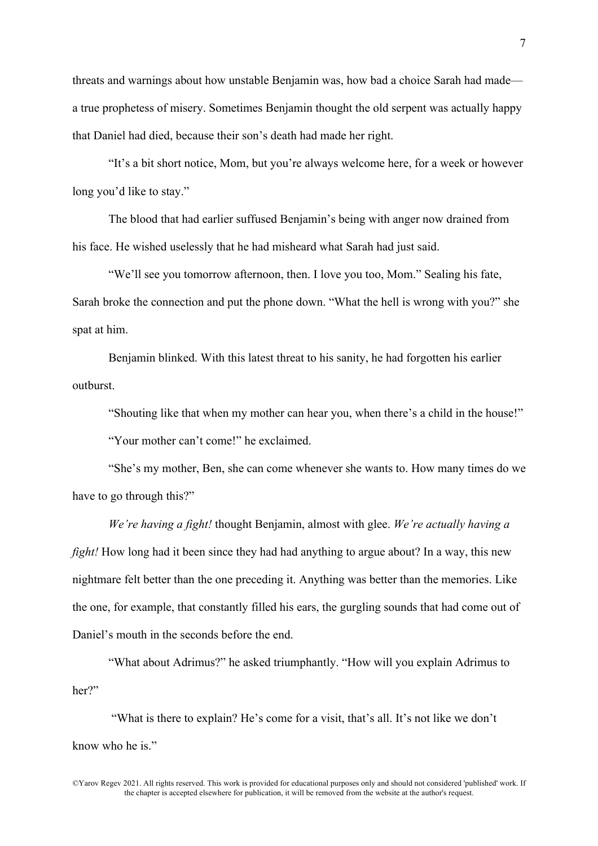threats and warnings about how unstable Benjamin was, how bad a choice Sarah had made a true prophetess of misery. Sometimes Benjamin thought the old serpent was actually happy that Daniel had died, because their son's death had made her right.

"It's a bit short notice, Mom, but you're always welcome here, for a week or however long you'd like to stay."

The blood that had earlier suffused Benjamin's being with anger now drained from his face. He wished uselessly that he had misheard what Sarah had just said.

"We'll see you tomorrow afternoon, then. I love you too, Mom." Sealing his fate, Sarah broke the connection and put the phone down. "What the hell is wrong with you?" she spat at him.

Benjamin blinked. With this latest threat to his sanity, he had forgotten his earlier outburst.

"Shouting like that when my mother can hear you, when there's a child in the house!"

"Your mother can't come!" he exclaimed.

"She's my mother, Ben, she can come whenever she wants to. How many times do we have to go through this?"

*We're having a fight!* thought Benjamin, almost with glee. *We're actually having a fight!* How long had it been since they had had anything to argue about? In a way, this new nightmare felt better than the one preceding it. Anything was better than the memories. Like the one, for example, that constantly filled his ears, the gurgling sounds that had come out of Daniel's mouth in the seconds before the end.

"What about Adrimus?" he asked triumphantly. "How will you explain Adrimus to her?"

"What is there to explain? He's come for a visit, that's all. It's not like we don't know who he is."

©Yarov Regev 2021. All rights reserved. This work is provided for educational purposes only and should not considered 'published' work. If the chapter is accepted elsewhere for publication, it will be removed from the website at the author's request.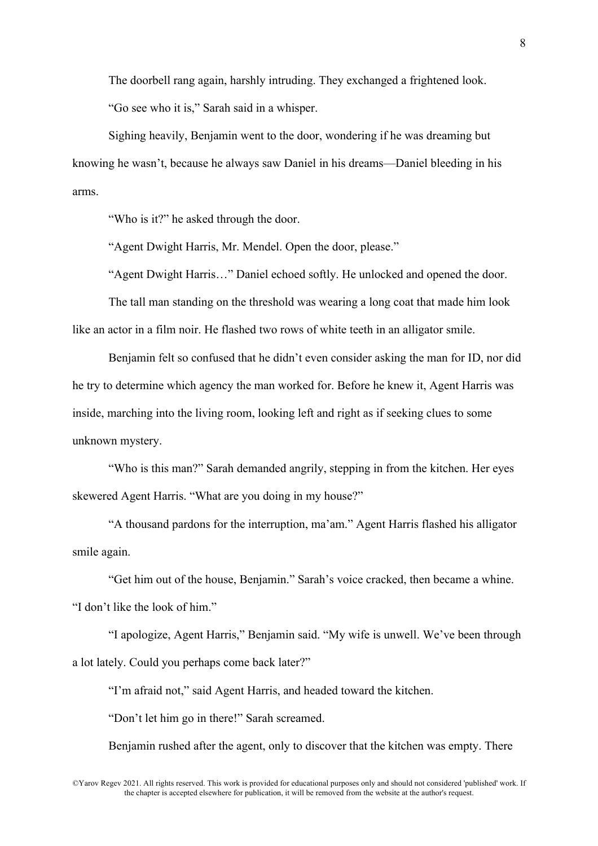The doorbell rang again, harshly intruding. They exchanged a frightened look. "Go see who it is," Sarah said in a whisper.

Sighing heavily, Benjamin went to the door, wondering if he was dreaming but knowing he wasn't, because he always saw Daniel in his dreams—Daniel bleeding in his arms.

"Who is it?" he asked through the door.

"Agent Dwight Harris, Mr. Mendel. Open the door, please."

"Agent Dwight Harris…" Daniel echoed softly. He unlocked and opened the door.

The tall man standing on the threshold was wearing a long coat that made him look like an actor in a film noir. He flashed two rows of white teeth in an alligator smile.

Benjamin felt so confused that he didn't even consider asking the man for ID, nor did he try to determine which agency the man worked for. Before he knew it, Agent Harris was inside, marching into the living room, looking left and right as if seeking clues to some unknown mystery.

"Who is this man?" Sarah demanded angrily, stepping in from the kitchen. Her eyes skewered Agent Harris. "What are you doing in my house?"

"A thousand pardons for the interruption, ma'am." Agent Harris flashed his alligator smile again.

"Get him out of the house, Benjamin." Sarah's voice cracked, then became a whine. "I don't like the look of him."

"I apologize, Agent Harris," Benjamin said. "My wife is unwell. We've been through a lot lately. Could you perhaps come back later?"

"I'm afraid not," said Agent Harris, and headed toward the kitchen.

"Don't let him go in there!" Sarah screamed.

Benjamin rushed after the agent, only to discover that the kitchen was empty. There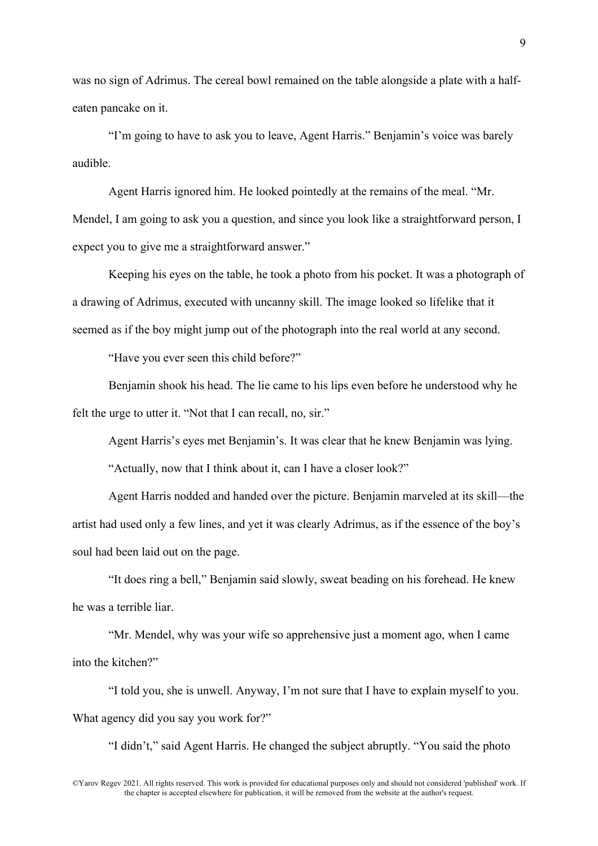was no sign of Adrimus. The cereal bowl remained on the table alongside a plate with a halfeaten pancake on it.

"I'm going to have to ask you to leave, Agent Harris." Benjamin's voice was barely audible.

Agent Harris ignored him. He looked pointedly at the remains of the meal. "Mr. Mendel, I am going to ask you a question, and since you look like a straightforward person, I expect you to give me a straightforward answer."

Keeping his eyes on the table, he took a photo from his pocket. It was a photograph of a drawing of Adrimus, executed with uncanny skill. The image looked so lifelike that it seemed as if the boy might jump out of the photograph into the real world at any second.

"Have you ever seen this child before?"

Benjamin shook his head. The lie came to his lips even before he understood why he felt the urge to utter it. "Not that I can recall, no, sir."

Agent Harris's eyes met Benjamin's. It was clear that he knew Benjamin was lying.

"Actually, now that I think about it, can I have a closer look?"

Agent Harris nodded and handed over the picture. Benjamin marveled at its skill—the artist had used only a few lines, and yet it was clearly Adrimus, as if the essence of the boy's soul had been laid out on the page.

"It does ring a bell," Benjamin said slowly, sweat beading on his forehead. He knew he was a terrible liar.

"Mr. Mendel, why was your wife so apprehensive just a moment ago, when I came into the kitchen?"

"I told you, she is unwell. Anyway, I'm not sure that I have to explain myself to you. What agency did you say you work for?"

"I didn't," said Agent Harris. He changed the subject abruptly. "You said the photo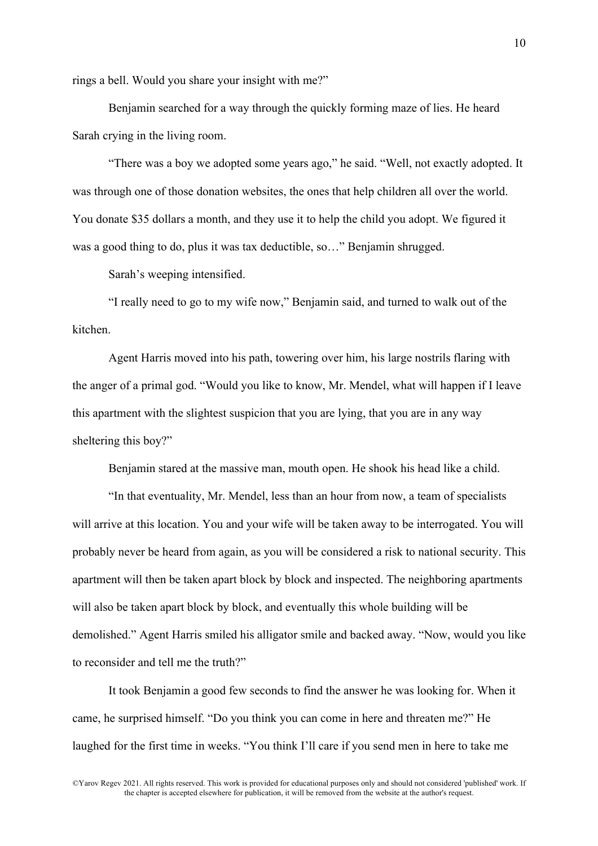rings a bell. Would you share your insight with me?"

Benjamin searched for a way through the quickly forming maze of lies. He heard Sarah crying in the living room.

"There was a boy we adopted some years ago," he said. "Well, not exactly adopted. It was through one of those donation websites, the ones that help children all over the world. You donate \$35 dollars a month, and they use it to help the child you adopt. We figured it was a good thing to do, plus it was tax deductible, so…" Benjamin shrugged.

Sarah's weeping intensified.

"I really need to go to my wife now," Benjamin said, and turned to walk out of the kitchen.

Agent Harris moved into his path, towering over him, his large nostrils flaring with the anger of a primal god. "Would you like to know, Mr. Mendel, what will happen if I leave this apartment with the slightest suspicion that you are lying, that you are in any way sheltering this boy?"

Benjamin stared at the massive man, mouth open. He shook his head like a child.

"In that eventuality, Mr. Mendel, less than an hour from now, a team of specialists will arrive at this location. You and your wife will be taken away to be interrogated. You will probably never be heard from again, as you will be considered a risk to national security. This apartment will then be taken apart block by block and inspected. The neighboring apartments will also be taken apart block by block, and eventually this whole building will be demolished." Agent Harris smiled his alligator smile and backed away. "Now, would you like to reconsider and tell me the truth?"

It took Benjamin a good few seconds to find the answer he was looking for. When it came, he surprised himself. "Do you think you can come in here and threaten me?" He laughed for the first time in weeks. "You think I'll care if you send men in here to take me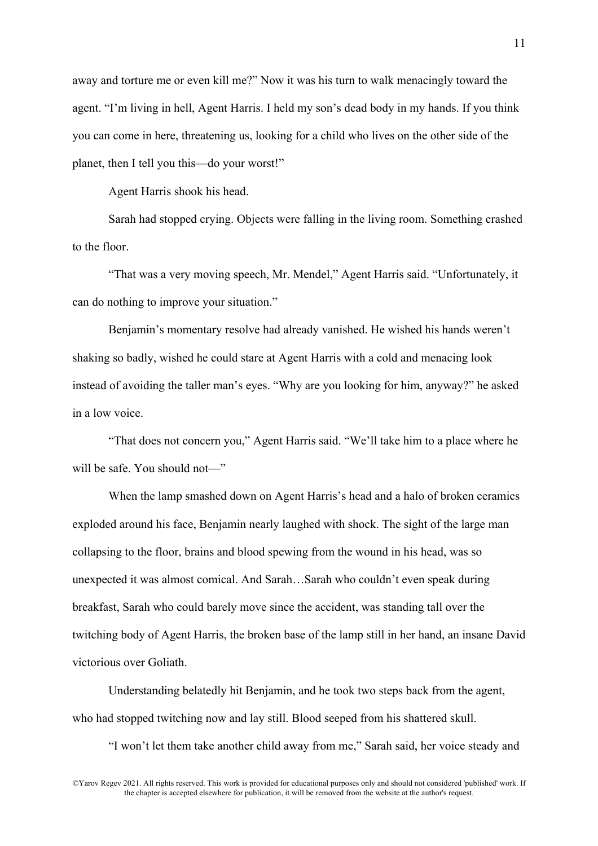away and torture me or even kill me?" Now it was his turn to walk menacingly toward the agent. "I'm living in hell, Agent Harris. I held my son's dead body in my hands. If you think you can come in here, threatening us, looking for a child who lives on the other side of the planet, then I tell you this—do your worst!"

Agent Harris shook his head.

Sarah had stopped crying. Objects were falling in the living room. Something crashed to the floor.

"That was a very moving speech, Mr. Mendel," Agent Harris said. "Unfortunately, it can do nothing to improve your situation."

Benjamin's momentary resolve had already vanished. He wished his hands weren't shaking so badly, wished he could stare at Agent Harris with a cold and menacing look instead of avoiding the taller man's eyes. "Why are you looking for him, anyway?" he asked in a low voice.

"That does not concern you," Agent Harris said. "We'll take him to a place where he will be safe. You should not—"

When the lamp smashed down on Agent Harris's head and a halo of broken ceramics exploded around his face, Benjamin nearly laughed with shock. The sight of the large man collapsing to the floor, brains and blood spewing from the wound in his head, was so unexpected it was almost comical. And Sarah…Sarah who couldn't even speak during breakfast, Sarah who could barely move since the accident, was standing tall over the twitching body of Agent Harris, the broken base of the lamp still in her hand, an insane David victorious over Goliath.

Understanding belatedly hit Benjamin, and he took two steps back from the agent, who had stopped twitching now and lay still. Blood seeped from his shattered skull.

"I won't let them take another child away from me," Sarah said, her voice steady and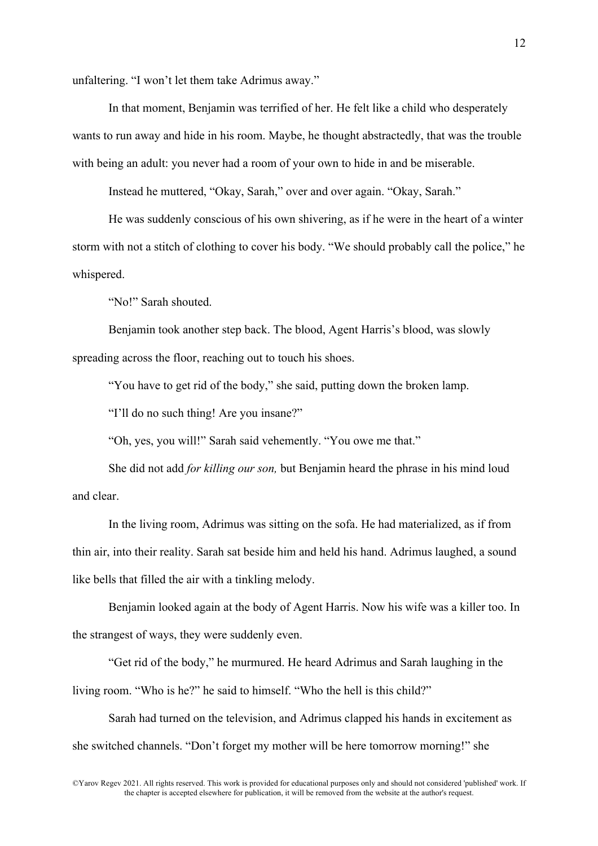unfaltering. "I won't let them take Adrimus away."

In that moment, Benjamin was terrified of her. He felt like a child who desperately wants to run away and hide in his room. Maybe, he thought abstractedly, that was the trouble with being an adult: you never had a room of your own to hide in and be miserable.

Instead he muttered, "Okay, Sarah," over and over again. "Okay, Sarah."

He was suddenly conscious of his own shivering, as if he were in the heart of a winter storm with not a stitch of clothing to cover his body. "We should probably call the police," he whispered.

"No!" Sarah shouted.

Benjamin took another step back. The blood, Agent Harris's blood, was slowly spreading across the floor, reaching out to touch his shoes.

"You have to get rid of the body," she said, putting down the broken lamp.

"I'll do no such thing! Are you insane?"

"Oh, yes, you will!" Sarah said vehemently. "You owe me that."

She did not add *for killing our son,* but Benjamin heard the phrase in his mind loud and clear.

In the living room, Adrimus was sitting on the sofa. He had materialized, as if from thin air, into their reality. Sarah sat beside him and held his hand. Adrimus laughed, a sound like bells that filled the air with a tinkling melody.

Benjamin looked again at the body of Agent Harris. Now his wife was a killer too. In the strangest of ways, they were suddenly even.

"Get rid of the body," he murmured. He heard Adrimus and Sarah laughing in the living room. "Who is he?" he said to himself. "Who the hell is this child?"

Sarah had turned on the television, and Adrimus clapped his hands in excitement as she switched channels. "Don't forget my mother will be here tomorrow morning!" she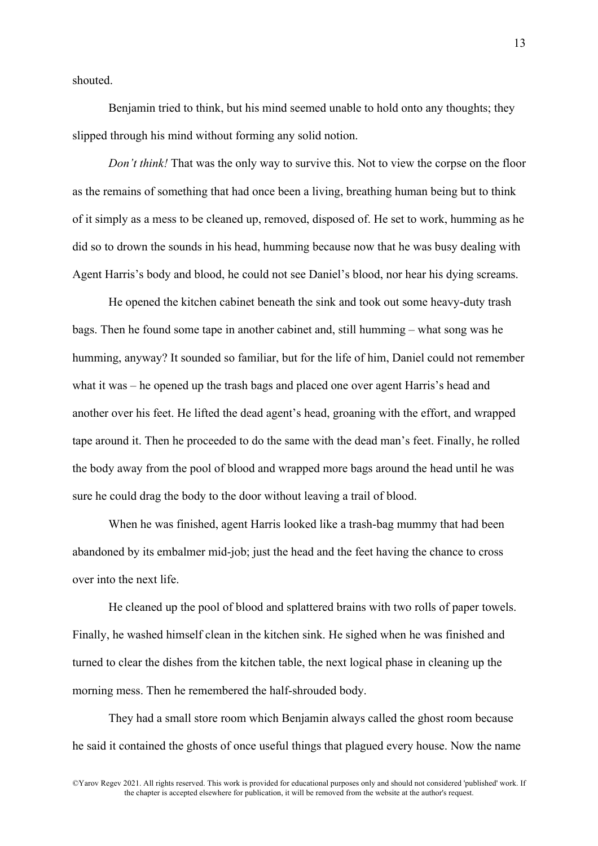shouted.

Benjamin tried to think, but his mind seemed unable to hold onto any thoughts; they slipped through his mind without forming any solid notion.

*Don't think!* That was the only way to survive this. Not to view the corpse on the floor as the remains of something that had once been a living, breathing human being but to think of it simply as a mess to be cleaned up, removed, disposed of. He set to work, humming as he did so to drown the sounds in his head, humming because now that he was busy dealing with Agent Harris's body and blood, he could not see Daniel's blood, nor hear his dying screams.

He opened the kitchen cabinet beneath the sink and took out some heavy-duty trash bags. Then he found some tape in another cabinet and, still humming – what song was he humming, anyway? It sounded so familiar, but for the life of him, Daniel could not remember what it was – he opened up the trash bags and placed one over agent Harris's head and another over his feet. He lifted the dead agent's head, groaning with the effort, and wrapped tape around it. Then he proceeded to do the same with the dead man's feet. Finally, he rolled the body away from the pool of blood and wrapped more bags around the head until he was sure he could drag the body to the door without leaving a trail of blood.

When he was finished, agent Harris looked like a trash-bag mummy that had been abandoned by its embalmer mid-job; just the head and the feet having the chance to cross over into the next life.

He cleaned up the pool of blood and splattered brains with two rolls of paper towels. Finally, he washed himself clean in the kitchen sink. He sighed when he was finished and turned to clear the dishes from the kitchen table, the next logical phase in cleaning up the morning mess. Then he remembered the half-shrouded body.

They had a small store room which Benjamin always called the ghost room because he said it contained the ghosts of once useful things that plagued every house. Now the name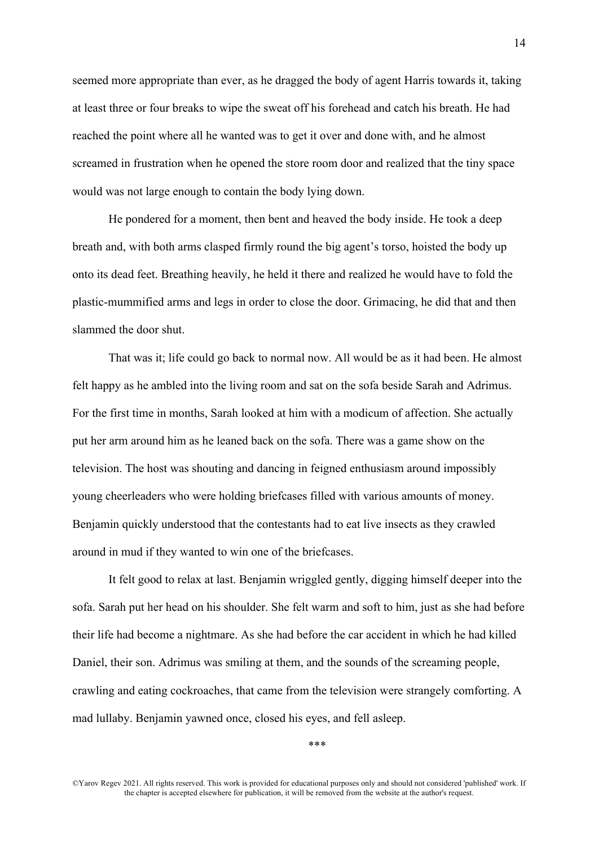seemed more appropriate than ever, as he dragged the body of agent Harris towards it, taking at least three or four breaks to wipe the sweat off his forehead and catch his breath. He had reached the point where all he wanted was to get it over and done with, and he almost screamed in frustration when he opened the store room door and realized that the tiny space would was not large enough to contain the body lying down.

He pondered for a moment, then bent and heaved the body inside. He took a deep breath and, with both arms clasped firmly round the big agent's torso, hoisted the body up onto its dead feet. Breathing heavily, he held it there and realized he would have to fold the plastic-mummified arms and legs in order to close the door. Grimacing, he did that and then slammed the door shut.

That was it; life could go back to normal now. All would be as it had been. He almost felt happy as he ambled into the living room and sat on the sofa beside Sarah and Adrimus. For the first time in months, Sarah looked at him with a modicum of affection. She actually put her arm around him as he leaned back on the sofa. There was a game show on the television. The host was shouting and dancing in feigned enthusiasm around impossibly young cheerleaders who were holding briefcases filled with various amounts of money. Benjamin quickly understood that the contestants had to eat live insects as they crawled around in mud if they wanted to win one of the briefcases.

It felt good to relax at last. Benjamin wriggled gently, digging himself deeper into the sofa. Sarah put her head on his shoulder. She felt warm and soft to him, just as she had before their life had become a nightmare. As she had before the car accident in which he had killed Daniel, their son. Adrimus was smiling at them, and the sounds of the screaming people, crawling and eating cockroaches, that came from the television were strangely comforting. A mad lullaby. Benjamin yawned once, closed his eyes, and fell asleep.

\*\*\*

<sup>©</sup>Yarov Regev 2021. All rights reserved. This work is provided for educational purposes only and should not considered 'published' work. If the chapter is accepted elsewhere for publication, it will be removed from the website at the author's request.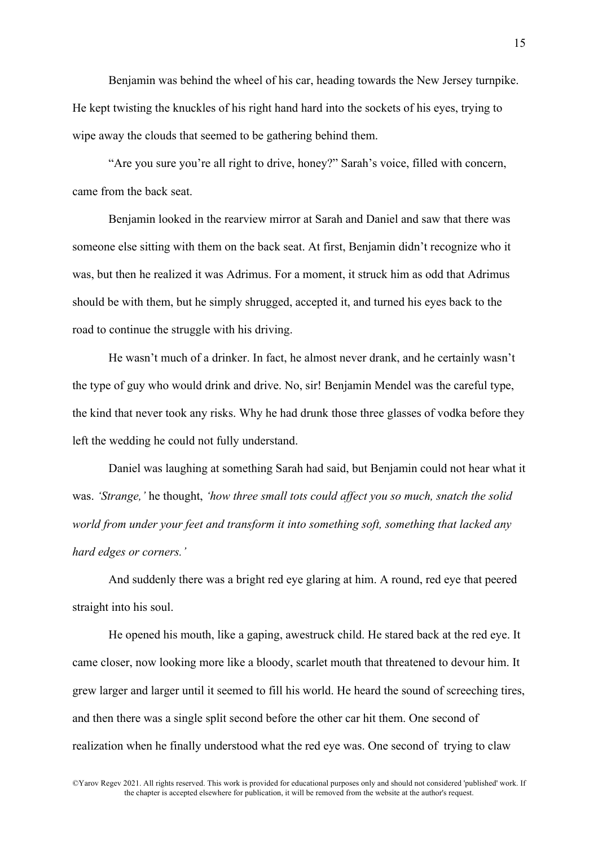Benjamin was behind the wheel of his car, heading towards the New Jersey turnpike. He kept twisting the knuckles of his right hand hard into the sockets of his eyes, trying to wipe away the clouds that seemed to be gathering behind them.

"Are you sure you're all right to drive, honey?" Sarah's voice, filled with concern, came from the back seat.

Benjamin looked in the rearview mirror at Sarah and Daniel and saw that there was someone else sitting with them on the back seat. At first, Benjamin didn't recognize who it was, but then he realized it was Adrimus. For a moment, it struck him as odd that Adrimus should be with them, but he simply shrugged, accepted it, and turned his eyes back to the road to continue the struggle with his driving.

He wasn't much of a drinker. In fact, he almost never drank, and he certainly wasn't the type of guy who would drink and drive. No, sir! Benjamin Mendel was the careful type, the kind that never took any risks. Why he had drunk those three glasses of vodka before they left the wedding he could not fully understand.

Daniel was laughing at something Sarah had said, but Benjamin could not hear what it was. *'Strange,'* he thought, *'how three small tots could affect you so much, snatch the solid world from under your feet and transform it into something soft, something that lacked any hard edges or corners.'*

And suddenly there was a bright red eye glaring at him. A round, red eye that peered straight into his soul.

He opened his mouth, like a gaping, awestruck child. He stared back at the red eye. It came closer, now looking more like a bloody, scarlet mouth that threatened to devour him. It grew larger and larger until it seemed to fill his world. He heard the sound of screeching tires, and then there was a single split second before the other car hit them. One second of realization when he finally understood what the red eye was. One second of trying to claw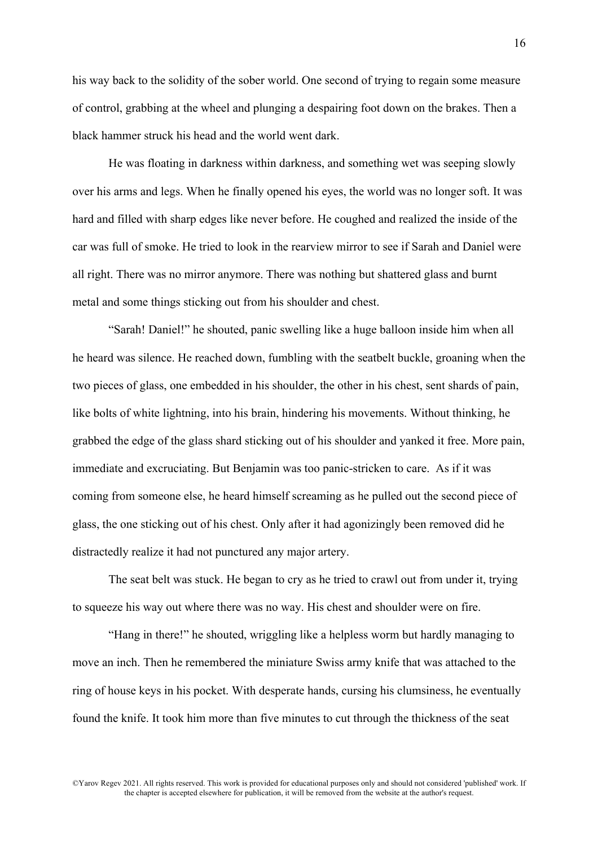his way back to the solidity of the sober world. One second of trying to regain some measure of control, grabbing at the wheel and plunging a despairing foot down on the brakes. Then a black hammer struck his head and the world went dark.

He was floating in darkness within darkness, and something wet was seeping slowly over his arms and legs. When he finally opened his eyes, the world was no longer soft. It was hard and filled with sharp edges like never before. He coughed and realized the inside of the car was full of smoke. He tried to look in the rearview mirror to see if Sarah and Daniel were all right. There was no mirror anymore. There was nothing but shattered glass and burnt metal and some things sticking out from his shoulder and chest.

"Sarah! Daniel!" he shouted, panic swelling like a huge balloon inside him when all he heard was silence. He reached down, fumbling with the seatbelt buckle, groaning when the two pieces of glass, one embedded in his shoulder, the other in his chest, sent shards of pain, like bolts of white lightning, into his brain, hindering his movements. Without thinking, he grabbed the edge of the glass shard sticking out of his shoulder and yanked it free. More pain, immediate and excruciating. But Benjamin was too panic-stricken to care. As if it was coming from someone else, he heard himself screaming as he pulled out the second piece of glass, the one sticking out of his chest. Only after it had agonizingly been removed did he distractedly realize it had not punctured any major artery.

The seat belt was stuck. He began to cry as he tried to crawl out from under it, trying to squeeze his way out where there was no way. His chest and shoulder were on fire.

"Hang in there!" he shouted, wriggling like a helpless worm but hardly managing to move an inch. Then he remembered the miniature Swiss army knife that was attached to the ring of house keys in his pocket. With desperate hands, cursing his clumsiness, he eventually found the knife. It took him more than five minutes to cut through the thickness of the seat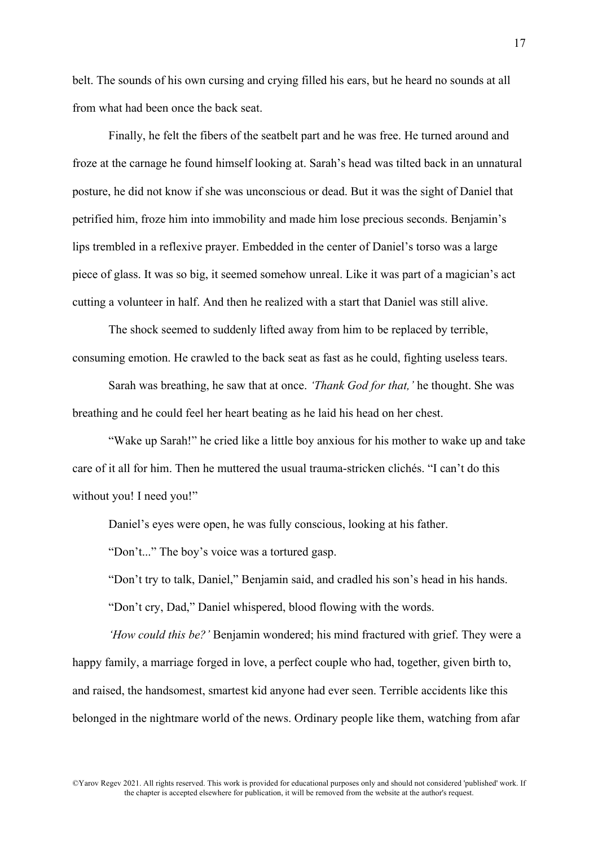belt. The sounds of his own cursing and crying filled his ears, but he heard no sounds at all from what had been once the back seat.

Finally, he felt the fibers of the seatbelt part and he was free. He turned around and froze at the carnage he found himself looking at. Sarah's head was tilted back in an unnatural posture, he did not know if she was unconscious or dead. But it was the sight of Daniel that petrified him, froze him into immobility and made him lose precious seconds. Benjamin's lips trembled in a reflexive prayer. Embedded in the center of Daniel's torso was a large piece of glass. It was so big, it seemed somehow unreal. Like it was part of a magician's act cutting a volunteer in half. And then he realized with a start that Daniel was still alive.

The shock seemed to suddenly lifted away from him to be replaced by terrible, consuming emotion. He crawled to the back seat as fast as he could, fighting useless tears.

Sarah was breathing, he saw that at once. *'Thank God for that,'* he thought. She was breathing and he could feel her heart beating as he laid his head on her chest.

"Wake up Sarah!" he cried like a little boy anxious for his mother to wake up and take care of it all for him. Then he muttered the usual trauma-stricken clichés. "I can't do this without you! I need you!"

Daniel's eyes were open, he was fully conscious, looking at his father.

"Don't..." The boy's voice was a tortured gasp.

"Don't try to talk, Daniel," Benjamin said, and cradled his son's head in his hands.

"Don't cry, Dad," Daniel whispered, blood flowing with the words.

*'How could this be?'* Benjamin wondered; his mind fractured with grief. They were a happy family, a marriage forged in love, a perfect couple who had, together, given birth to, and raised, the handsomest, smartest kid anyone had ever seen. Terrible accidents like this belonged in the nightmare world of the news. Ordinary people like them, watching from afar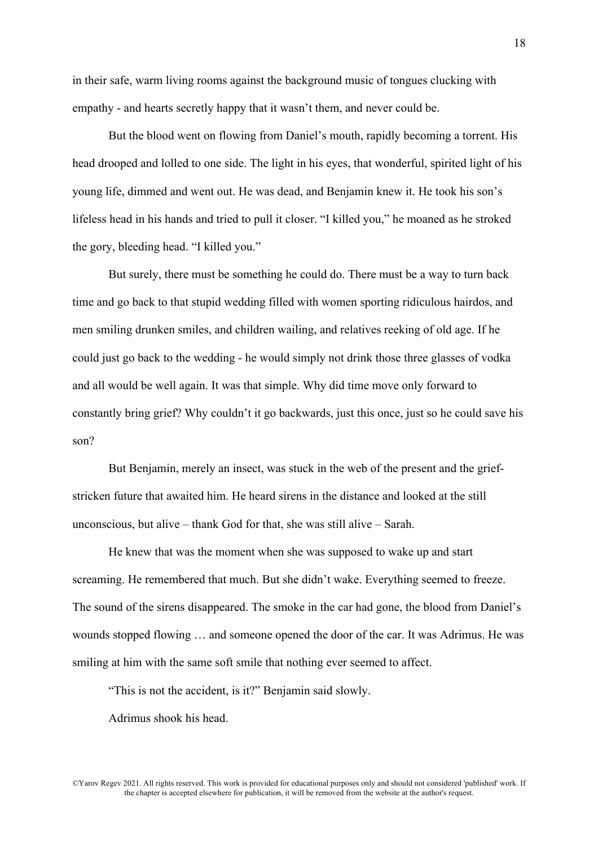in their safe, warm living rooms against the background music of tongues clucking with empathy - and hearts secretly happy that it wasn't them, and never could be.

But the blood went on flowing from Daniel's mouth, rapidly becoming a torrent. His head drooped and lolled to one side. The light in his eyes, that wonderful, spirited light of his young life, dimmed and went out. He was dead, and Benjamin knew it. He took his son's lifeless head in his hands and tried to pull it closer. "I killed you," he moaned as he stroked the gory, bleeding head. "I killed you."

But surely, there must be something he could do. There must be a way to turn back time and go back to that stupid wedding filled with women sporting ridiculous hairdos, and men smiling drunken smiles, and children wailing, and relatives reeking of old age. If he could just go back to the wedding - he would simply not drink those three glasses of vodka and all would be well again. It was that simple. Why did time move only forward to constantly bring grief? Why couldn't it go backwards, just this once, just so he could save his son?

But Benjamin, merely an insect, was stuck in the web of the present and the griefstricken future that awaited him. He heard sirens in the distance and looked at the still unconscious, but alive – thank God for that, she was still alive – Sarah.

He knew that was the moment when she was supposed to wake up and start screaming. He remembered that much. But she didn't wake. Everything seemed to freeze. The sound of the sirens disappeared. The smoke in the car had gone, the blood from Daniel's wounds stopped flowing … and someone opened the door of the car. It was Adrimus. He was smiling at him with the same soft smile that nothing ever seemed to affect.

"This is not the accident, is it?" Benjamin said slowly.

Adrimus shook his head.

©Yarov Regev 2021. All rights reserved. This work is provided for educational purposes only and should not considered 'published' work. If the chapter is accepted elsewhere for publication, it will be removed from the website at the author's request.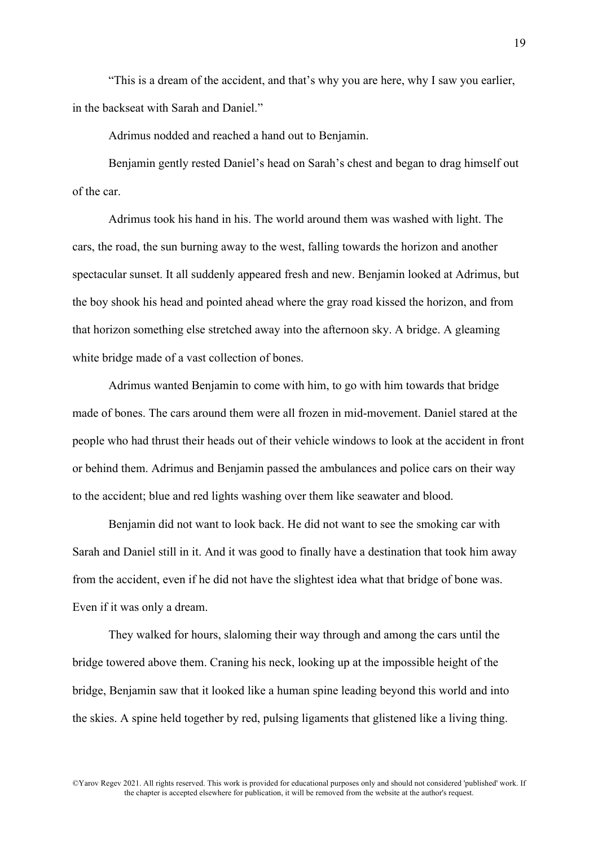"This is a dream of the accident, and that's why you are here, why I saw you earlier, in the backseat with Sarah and Daniel."

Adrimus nodded and reached a hand out to Benjamin.

Benjamin gently rested Daniel's head on Sarah's chest and began to drag himself out of the car.

Adrimus took his hand in his. The world around them was washed with light. The cars, the road, the sun burning away to the west, falling towards the horizon and another spectacular sunset. It all suddenly appeared fresh and new. Benjamin looked at Adrimus, but the boy shook his head and pointed ahead where the gray road kissed the horizon, and from that horizon something else stretched away into the afternoon sky. A bridge. A gleaming white bridge made of a vast collection of bones.

Adrimus wanted Benjamin to come with him, to go with him towards that bridge made of bones. The cars around them were all frozen in mid-movement. Daniel stared at the people who had thrust their heads out of their vehicle windows to look at the accident in front or behind them. Adrimus and Benjamin passed the ambulances and police cars on their way to the accident; blue and red lights washing over them like seawater and blood.

Benjamin did not want to look back. He did not want to see the smoking car with Sarah and Daniel still in it. And it was good to finally have a destination that took him away from the accident, even if he did not have the slightest idea what that bridge of bone was. Even if it was only a dream.

They walked for hours, slaloming their way through and among the cars until the bridge towered above them. Craning his neck, looking up at the impossible height of the bridge, Benjamin saw that it looked like a human spine leading beyond this world and into the skies. A spine held together by red, pulsing ligaments that glistened like a living thing.